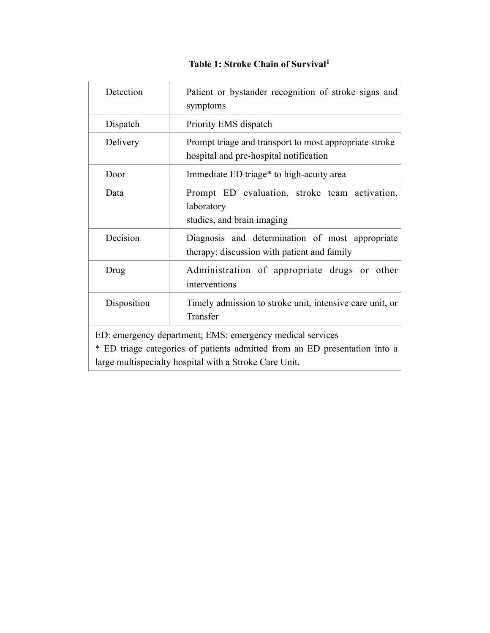### <span id="page-0-0"></span>**Table 1: Stroke Chain of Survival[1](#page-34-0)**

| Detection                                                                                                                                                                                         | Patient or bystander recognition of stroke signs and<br>symptoms                                 |
|---------------------------------------------------------------------------------------------------------------------------------------------------------------------------------------------------|--------------------------------------------------------------------------------------------------|
| Dispatch                                                                                                                                                                                          | Priority EMS dispatch                                                                            |
| Delivery                                                                                                                                                                                          | Prompt triage and transport to most appropriate stroke<br>hospital and pre-hospital notification |
| Door                                                                                                                                                                                              | Immediate ED triage* to high-acuity area                                                         |
| Data                                                                                                                                                                                              | Prompt ED evaluation, stroke team activation,<br>laboratory<br>studies, and brain imaging        |
| Decision                                                                                                                                                                                          | Diagnosis and determination of most appropriate<br>therapy; discussion with patient and family   |
| Drug                                                                                                                                                                                              | Administration of appropriate drugs or other<br>interventions                                    |
| Disposition                                                                                                                                                                                       | Timely admission to stroke unit, intensive care unit, or<br>Transfer                             |
| ED: emergency department; EMS: emergency medical services<br>* ED triage categories of patients admitted from an ED presentation into a<br>large multispecialty hospital with a Stroke Care Unit. |                                                                                                  |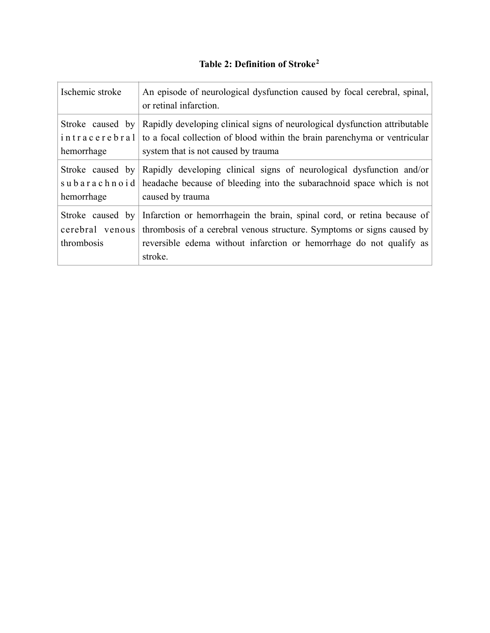### <span id="page-1-0"></span>**Table 2: Definition of Stroke[2](#page-34-1)**

| Ischemic stroke                                   | An episode of neurological dysfunction caused by focal cerebral, spinal,<br>or retinal infarction.                                                                                                                                  |
|---------------------------------------------------|-------------------------------------------------------------------------------------------------------------------------------------------------------------------------------------------------------------------------------------|
| Stroke caused by<br>intracerebral<br>hemorrhage   | Rapidly developing clinical signs of neurological dysfunction attributable<br>to a focal collection of blood within the brain parenchyma or ventricular<br>system that is not caused by trauma                                      |
| Stroke caused by<br>hemorrhage                    | Rapidly developing clinical signs of neurological dysfunction and/or<br>subarachinoid headache because of bleeding into the subarachinoid space which is not<br>caused by trauma                                                    |
| Stroke caused by<br>cerebral venous<br>thrombosis | Infarction or hemorrhagein the brain, spinal cord, or retina because of<br>thrombosis of a cerebral venous structure. Symptoms or signs caused by<br>reversible edema without infarction or hemorrhage do not qualify as<br>stroke. |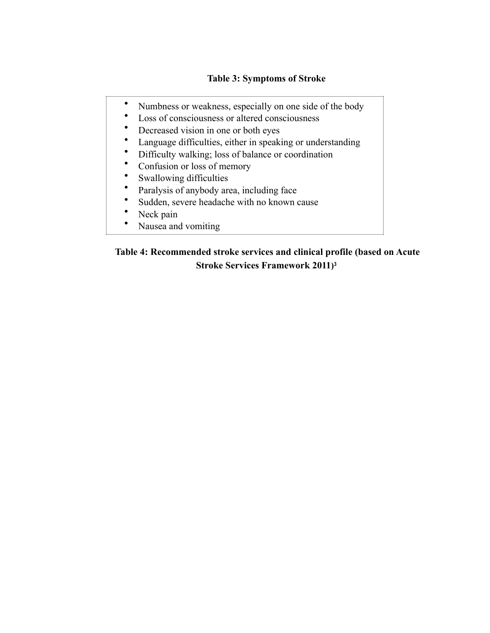#### **Table 3: Symptoms of Stroke**

- Numbness or weakness, especially on one side of the body
- Loss of consciousness or altered consciousness
- Decreased vision in one or both eyes
- Language difficulties, either in speaking or understanding<br>• Difficulty walking: loss of balance or coordination
- Difficulty walking; loss of balance or coordination<br>• Confusion or loss of memory
- Confusion or loss of memory
- Swallowing difficulties
- Paralysis of anybody area, including face
- Sudden, severe headache with no known cause
- Neck pain
- <span id="page-2-0"></span>• Nausea and vomiting

### **Table 4: Recommended stroke services and clinical profile (based on Acute Stroke Services Framework 2011[\)3](#page-34-2)**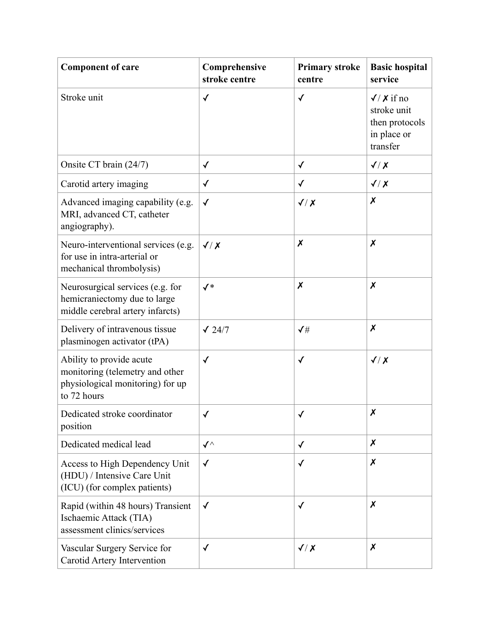| <b>Component of care</b>                                                                                       | Comprehensive<br>stroke centre | <b>Primary stroke</b><br>centre | <b>Basic hospital</b><br>service                                               |
|----------------------------------------------------------------------------------------------------------------|--------------------------------|---------------------------------|--------------------------------------------------------------------------------|
| Stroke unit                                                                                                    | $\checkmark$                   | $\checkmark$                    | $\sqrt{7}$ X if no<br>stroke unit<br>then protocols<br>in place or<br>transfer |
| Onsite CT brain (24/7)                                                                                         | $\checkmark$                   | $\checkmark$                    | $\sqrt{X}$                                                                     |
| Carotid artery imaging                                                                                         | $\checkmark$                   | $\checkmark$                    | $\sqrt{X}$                                                                     |
| Advanced imaging capability (e.g.<br>MRI, advanced CT, catheter<br>angiography).                               | $\checkmark$                   | $\sqrt{X}$                      | $\boldsymbol{x}$                                                               |
| Neuro-interventional services (e.g.<br>for use in intra-arterial or<br>mechanical thrombolysis)                | $\sqrt{X}$                     | X                               | $\boldsymbol{x}$                                                               |
| Neurosurgical services (e.g. for<br>hemicraniectomy due to large<br>middle cerebral artery infarcts)           | $\checkmark^*$                 | $\boldsymbol{x}$                | $\boldsymbol{x}$                                                               |
| Delivery of intravenous tissue<br>plasminogen activator (tPA)                                                  | $\sqrt{24/7}$                  | $\checkmark\sharp$              | $\boldsymbol{x}$                                                               |
| Ability to provide acute<br>monitoring (telemetry and other<br>physiological monitoring) for up<br>to 72 hours | $\checkmark$                   | √                               | $\sqrt{X}$                                                                     |
| Dedicated stroke coordinator<br>position                                                                       | $\checkmark$                   | ✓                               | X                                                                              |
| Dedicated medical lead                                                                                         | $\checkmark$                   | $\checkmark$                    | $\boldsymbol{x}$                                                               |
| Access to High Dependency Unit<br>(HDU) / Intensive Care Unit<br>(ICU) (for complex patients)                  | $\checkmark$                   | $\checkmark$                    | $\boldsymbol{x}$                                                               |
| Rapid (within 48 hours) Transient<br>Ischaemic Attack (TIA)<br>assessment clinics/services                     | $\checkmark$                   | $\checkmark$                    | $\boldsymbol{x}$                                                               |
| Vascular Surgery Service for<br>Carotid Artery Intervention                                                    | $\checkmark$                   | $\sqrt{X}$                      | $\boldsymbol{x}$                                                               |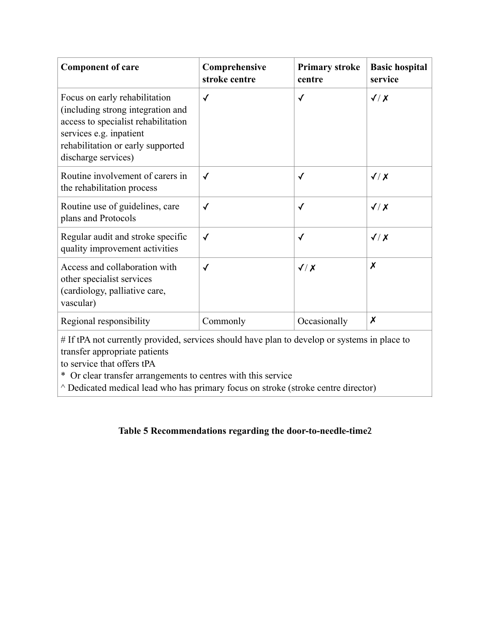| <b>Component of care</b>                                                                                                                                                                                                     | Comprehensive<br>stroke centre | <b>Primary stroke</b><br>centre | <b>Basic hospital</b><br>service |
|------------------------------------------------------------------------------------------------------------------------------------------------------------------------------------------------------------------------------|--------------------------------|---------------------------------|----------------------------------|
| Focus on early rehabilitation<br>(including strong integration and<br>access to specialist rehabilitation<br>services e.g. inpatient<br>rehabilitation or early supported<br>discharge services)                             | $\checkmark$                   | $\checkmark$                    | $\sqrt{X}$                       |
| Routine involvement of carers in<br>the rehabilitation process                                                                                                                                                               | $\checkmark$                   | $\checkmark$                    | $\sqrt{X}$                       |
| Routine use of guidelines, care<br>plans and Protocols                                                                                                                                                                       | $\checkmark$                   | $\checkmark$                    | $\sqrt{X}$                       |
| Regular audit and stroke specific<br>quality improvement activities                                                                                                                                                          | $\checkmark$                   | $\checkmark$                    | $\sqrt{X}$                       |
| Access and collaboration with<br>other specialist services<br>(cardiology, palliative care,<br>vascular)                                                                                                                     | $\checkmark$                   | $\sqrt{X}$                      | $\boldsymbol{x}$                 |
| Regional responsibility                                                                                                                                                                                                      | Commonly                       | Occasionally                    | $\boldsymbol{x}$                 |
| # If tPA not currently provided, services should have plan to develop or systems in place to<br>transfer appropriate patients<br>to service that offers tPA<br>* Or clear transfer arrangements to centres with this service |                                |                                 |                                  |

^ Dedicated medical lead who has primary focus on stroke (stroke centre director)

### **Table 5 Recommendations regarding the door-to-needle-time**2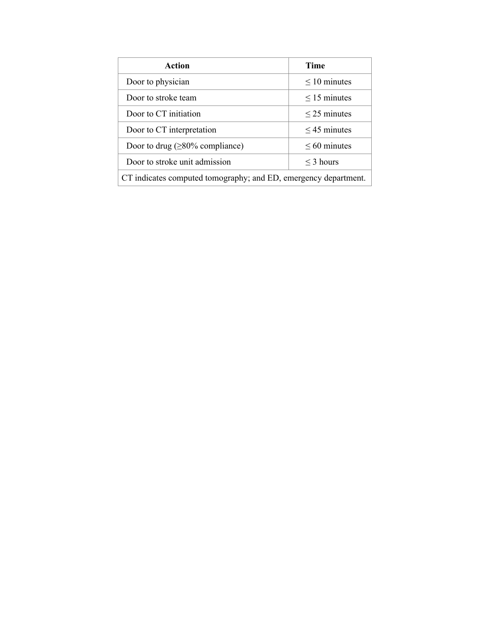| Action                                                          | <b>Time</b>       |  |
|-----------------------------------------------------------------|-------------------|--|
| Door to physician                                               | $\leq 10$ minutes |  |
| Door to stroke team                                             | $\leq$ 15 minutes |  |
| Door to CT initiation                                           | $\leq$ 25 minutes |  |
| Door to CT interpretation                                       | $\leq$ 45 minutes |  |
| Door to drug ( $\geq$ 80% compliance)                           | $\leq 60$ minutes |  |
| Door to stroke unit admission                                   | $\leq$ 3 hours    |  |
| CT indicates computed tomography; and ED, emergency department. |                   |  |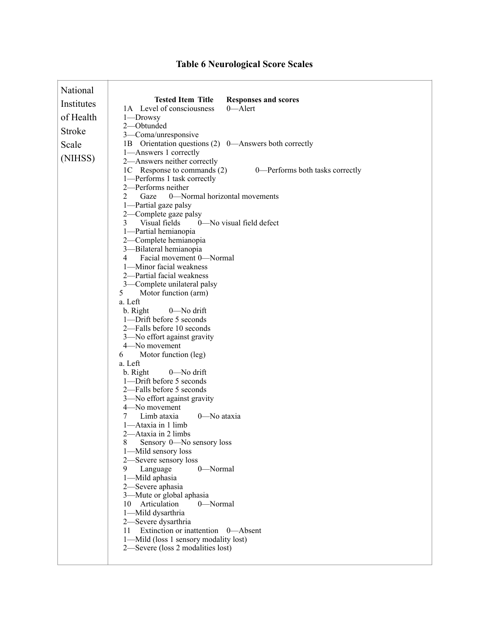| National   |                                                                              |
|------------|------------------------------------------------------------------------------|
| Institutes | <b>Tested Item Title</b><br><b>Responses and scores</b>                      |
|            | 1A Level of consciousness<br>0-Alert                                         |
| of Health  | 1—Drowsy                                                                     |
| Stroke     | 2-Obtunded                                                                   |
| Scale      | 3-Coma/unresponsive<br>1B Orientation questions (2) 0—Answers both correctly |
|            | 1-Answers 1 correctly                                                        |
| (NIHSS)    | 2-Answers neither correctly                                                  |
|            | 1C Response to commands (2)<br>0-Performs both tasks correctly               |
|            | 1-Performs 1 task correctly                                                  |
|            | 2—Performs neither                                                           |
|            | $\overline{2}$<br>0—Normal horizontal movements<br>Gaze                      |
|            | 1—Partial gaze palsy                                                         |
|            | 2-Complete gaze palsy<br>Visual fields<br>0-No visual field defect<br>3      |
|            | 1-Partial hemianopia                                                         |
|            | 2-Complete hemianopia                                                        |
|            | 3-Bilateral hemianopia                                                       |
|            | Facial movement 0-Normal<br>4                                                |
|            | 1-Minor facial weakness                                                      |
|            | 2-Partial facial weakness                                                    |
|            | 3-Complete unilateral palsy<br>5                                             |
|            | Motor function (arm)<br>a. Left                                              |
|            | 0-No drift<br>b. Right                                                       |
|            | 1-Drift before 5 seconds                                                     |
|            | 2-Falls before 10 seconds                                                    |
|            | 3-No effort against gravity                                                  |
|            | 4-No movement                                                                |
|            | Motor function (leg)<br>6<br>a. Left                                         |
|            | $0$ —No drift<br>b. Right                                                    |
|            | 1-Drift before 5 seconds                                                     |
|            | 2-Falls before 5 seconds                                                     |
|            | 3-No effort against gravity                                                  |
|            | 4-No movement                                                                |
|            | Limb ataxia<br>0-No ataxia<br>7                                              |
|            | 1—Ataxia in 1 limb<br>2-Ataxia in 2 limbs                                    |
|            | 8<br>Sensory 0—No sensory loss                                               |
|            | 1—Mild sensory loss                                                          |
|            | 2-Severe sensory loss                                                        |
|            | 0-Normal<br>9.<br>Language                                                   |
|            | 1-Mild aphasia                                                               |
|            | 2-Severe aphasia                                                             |
|            | 3—Mute or global aphasia                                                     |
|            | Articulation<br>0-Normal<br>10<br>1-Mild dysarthria                          |
|            | 2-Severe dysarthria                                                          |
|            | Extinction or inattention 0—Absent<br>11                                     |
|            | 1—Mild (loss 1 sensory modality lost)                                        |
|            | 2—Severe (loss 2 modalities lost)                                            |
|            |                                                                              |

# **Table 6 Neurological Score Scales**

 $\mathbf{I}$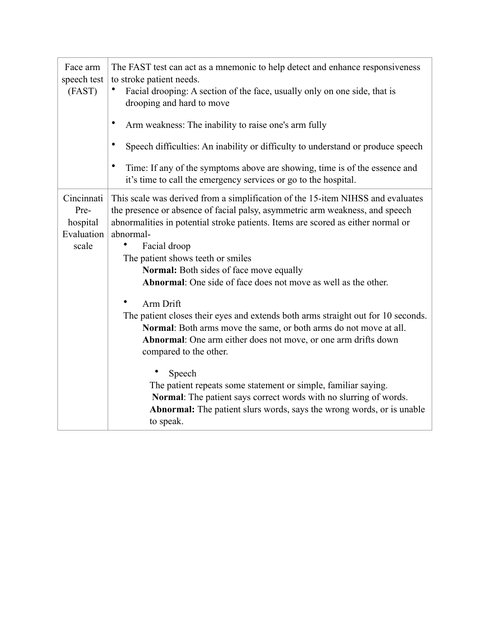| Face arm<br>speech test<br>(FAST)                     | The FAST test can act as a mnemonic to help detect and enhance responsiveness<br>to stroke patient needs.<br>Facial drooping: A section of the face, usually only on one side, that is<br>drooping and hard to move<br>Arm weakness: The inability to raise one's arm fully<br>Speech difficulties: An inability or difficulty to understand or produce speech<br>Time: If any of the symptoms above are showing, time is of the essence and<br>it's time to call the emergency services or go to the hospital. |
|-------------------------------------------------------|-----------------------------------------------------------------------------------------------------------------------------------------------------------------------------------------------------------------------------------------------------------------------------------------------------------------------------------------------------------------------------------------------------------------------------------------------------------------------------------------------------------------|
| Cincinnati<br>Pre-<br>hospital<br>Evaluation<br>scale | This scale was derived from a simplification of the 15-item NIHSS and evaluates<br>the presence or absence of facial palsy, asymmetric arm weakness, and speech<br>abnormalities in potential stroke patients. Items are scored as either normal or<br>abnormal-<br>$\bullet$<br>Facial droop<br>The patient shows teeth or smiles<br><b>Normal:</b> Both sides of face move equally<br><b>Abnormal:</b> One side of face does not move as well as the other.                                                   |
|                                                       | Arm Drift<br>The patient closes their eyes and extends both arms straight out for 10 seconds.<br>Normal: Both arms move the same, or both arms do not move at all.<br>Abnormal: One arm either does not move, or one arm drifts down<br>compared to the other.<br>Speech<br>The patient repeats some statement or simple, familiar saying.<br>Normal: The patient says correct words with no slurring of words.<br><b>Abnormal:</b> The patient slurs words, says the wrong words, or is unable<br>to speak.    |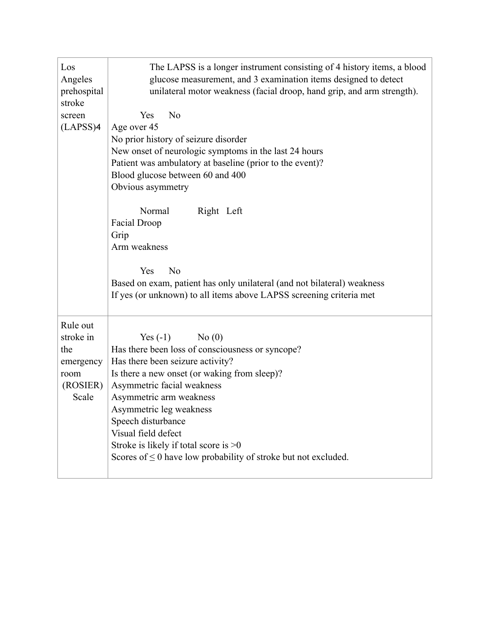| Los<br>Angeles<br>prehospital<br>stroke                                | The LAPSS is a longer instrument consisting of 4 history items, a blood<br>glucose measurement, and 3 examination items designed to detect<br>unilateral motor weakness (facial droop, hand grip, and arm strength).                                                                                                                                                                                           |
|------------------------------------------------------------------------|----------------------------------------------------------------------------------------------------------------------------------------------------------------------------------------------------------------------------------------------------------------------------------------------------------------------------------------------------------------------------------------------------------------|
| screen<br>(LAPSS)4                                                     | N <sub>0</sub><br>Yes<br>Age over 45<br>No prior history of seizure disorder<br>New onset of neurologic symptoms in the last 24 hours<br>Patient was ambulatory at baseline (prior to the event)?<br>Blood glucose between 60 and 400<br>Obvious asymmetry<br>Normal<br>Right Left<br><b>Facial Droop</b>                                                                                                      |
|                                                                        | Grip<br>Arm weakness<br>Yes<br>N <sub>0</sub><br>Based on exam, patient has only unilateral (and not bilateral) weakness<br>If yes (or unknown) to all items above LAPSS screening criteria met                                                                                                                                                                                                                |
| Rule out<br>stroke in<br>the<br>emergency<br>room<br>(ROSIER)<br>Scale | No(0)<br>Yes $(-1)$<br>Has there been loss of consciousness or syncope?<br>Has there been seizure activity?<br>Is there a new onset (or waking from sleep)?<br>Asymmetric facial weakness<br>Asymmetric arm weakness<br>Asymmetric leg weakness<br>Speech disturbance<br>Visual field defect<br>Stroke is likely if total score is $>0$<br>Scores of $\leq 0$ have low probability of stroke but not excluded. |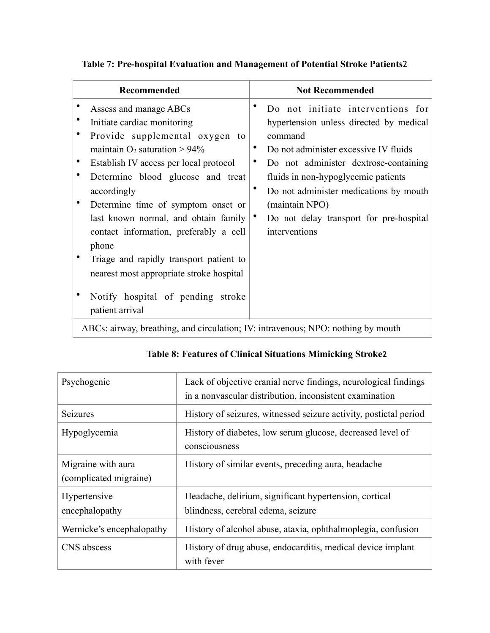| Do not initiate interventions for<br>hypertension unless directed by medical                                                                                                                                                                                  |
|---------------------------------------------------------------------------------------------------------------------------------------------------------------------------------------------------------------------------------------------------------------|
| command<br>Do not administer excessive IV fluids<br>٠<br>Do not administer dextrose-containing<br>fluids in non-hypoglycemic patients<br>Do not administer medications by mouth<br>(maintain NPO)<br>Do not delay transport for pre-hospital<br>interventions |
|                                                                                                                                                                                                                                                               |
| $\mathbf{1}$ at $\mathbf{1}$ the $\mathbf{1}$ the $\mathbf{1}$                                                                                                                                                                                                |

## **Table 7: Pre-hospital Evaluation and Management of Potential Stroke Patients**2

ABCs: airway, breathing, and circulation; IV: intravenous; NPO: nothing by mouth

| Psychogenic                                  | Lack of objective cranial nerve findings, neurological findings<br>in a nonvascular distribution, inconsistent examination |
|----------------------------------------------|----------------------------------------------------------------------------------------------------------------------------|
| Seizures                                     | History of seizures, witnessed seizure activity, postictal period                                                          |
| Hypoglycemia                                 | History of diabetes, low serum glucose, decreased level of<br>consciousness                                                |
| Migraine with aura<br>(complicated migraine) | History of similar events, preceding aura, headache                                                                        |
| Hypertensive<br>encephalopathy               | Headache, delirium, significant hypertension, cortical<br>blindness, cerebral edema, seizure                               |
| Wernicke's encephalopathy                    | History of alcohol abuse, ataxia, ophthalmoplegia, confusion                                                               |
| CNS abscess                                  | History of drug abuse, endocarditis, medical device implant<br>with fever                                                  |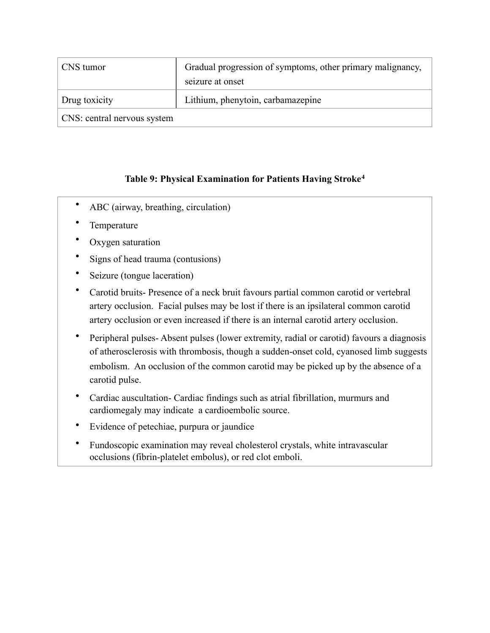| CNS tumor                   | Gradual progression of symptoms, other primary malignancy, |
|-----------------------------|------------------------------------------------------------|
|                             | seizure at onset                                           |
| Drug toxicity               | Lithium, phenytoin, carbamazepine                          |
| CNS: central nervous system |                                                            |

#### <span id="page-10-0"></span>**Table 9: Physical Examination for Patients Having Stroke[4](#page-34-3)**

- ABC (airway, breathing, circulation)
- **Temperature**
- Oxygen saturation
- Signs of head trauma (contusions)
- Seizure (tongue laceration)
- Carotid bruits- Presence of a neck bruit favours partial common carotid or vertebral artery occlusion. Facial pulses may be lost if there is an ipsilateral common carotid artery occlusion or even increased if there is an internal carotid artery occlusion.
- Peripheral pulses- Absent pulses (lower extremity, radial or carotid) favours a diagnosis of atherosclerosis with thrombosis, though a sudden-onset cold, cyanosed limb suggests embolism. An occlusion of the common carotid may be picked up by the absence of a carotid pulse.
- Cardiac auscultation- Cardiac findings such as atrial fibrillation, murmurs and cardiomegaly may indicate a cardioembolic source.
- Evidence of petechiae, purpura or jaundice
- Fundoscopic examination may reveal cholesterol crystals, white intravascular occlusions (fibrin-platelet embolus), or red clot emboli.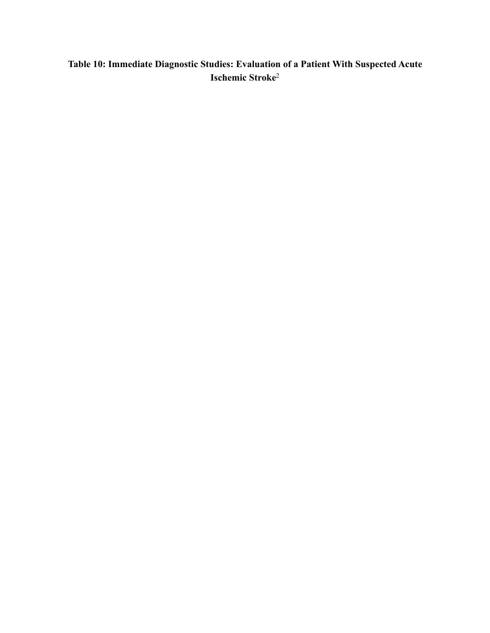## **Table 10: Immediate Diagnostic Studies: Evaluation of a Patient With Suspected Acute Ischemic Stroke**2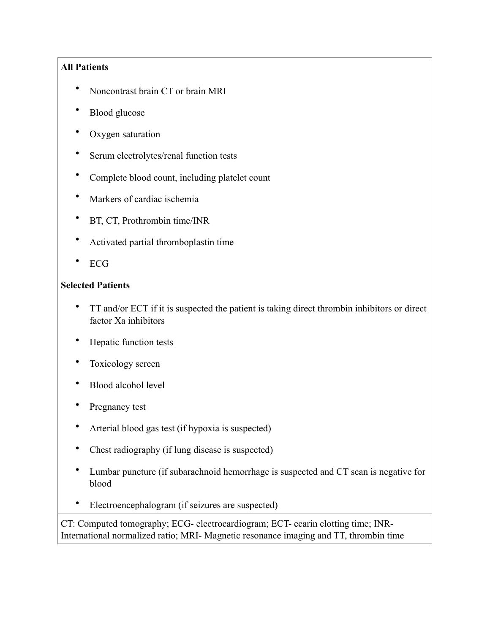#### **All Patients**

- Noncontrast brain CT or brain MRI
- Blood glucose
- Oxygen saturation
- Serum electrolytes/renal function tests
- Complete blood count, including platelet count
- Markers of cardiac ischemia
- BT, CT, Prothrombin time/INR
- Activated partial thromboplastin time
- ECG

#### **Selected Patients**

- TT and/or ECT if it is suspected the patient is taking direct thrombin inhibitors or direct factor Xa inhibitors
- Hepatic function tests
- Toxicology screen
- Blood alcohol level
- Pregnancy test
- Arterial blood gas test (if hypoxia is suspected)
- Chest radiography (if lung disease is suspected)
- Lumbar puncture (if subarachnoid hemorrhage is suspected and CT scan is negative for blood
- Electroencephalogram (if seizures are suspected)

CT: Computed tomography; ECG- electrocardiogram; ECT- ecarin clotting time; INR-International normalized ratio; MRI- Magnetic resonance imaging and TT, thrombin time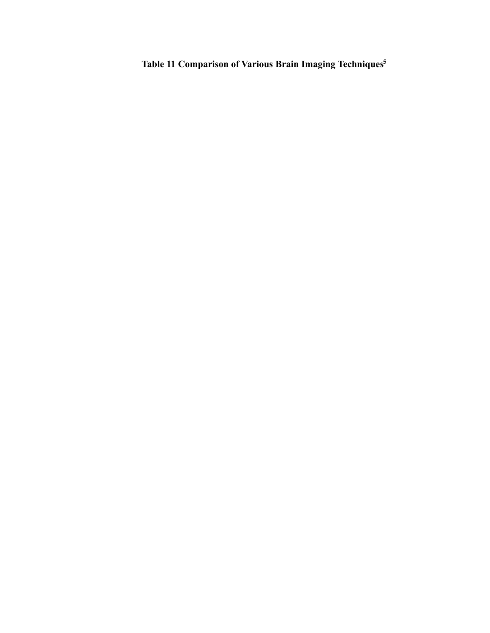<span id="page-13-0"></span>**Table 11 Comparison of Various Brain Imaging Technique[s5](#page-34-4)**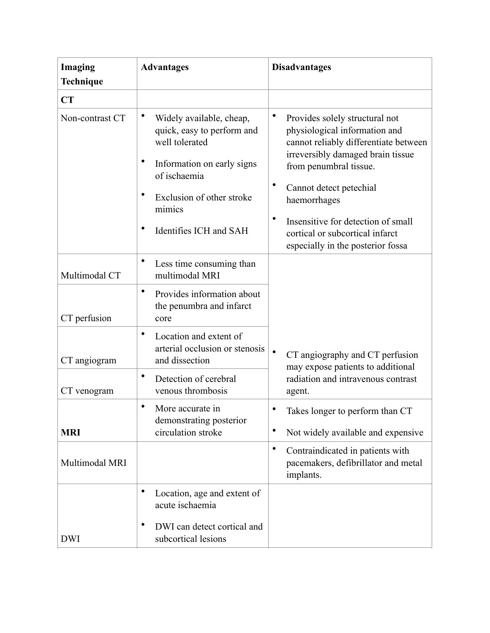| Imaging<br>Technique | <b>Advantages</b>                                                                                                                                                                       | <b>Disadvantages</b>                                                                                                                                                                                                                                                                                                             |
|----------------------|-----------------------------------------------------------------------------------------------------------------------------------------------------------------------------------------|----------------------------------------------------------------------------------------------------------------------------------------------------------------------------------------------------------------------------------------------------------------------------------------------------------------------------------|
| CT                   |                                                                                                                                                                                         |                                                                                                                                                                                                                                                                                                                                  |
| Non-contrast CT      | Widely available, cheap,<br>quick, easy to perform and<br>well tolerated<br>Information on early signs<br>of ischaemia<br>Exclusion of other stroke<br>mimics<br>Identifies ICH and SAH | Provides solely structural not<br>physiological information and<br>cannot reliably differentiate between<br>irreversibly damaged brain tissue<br>from penumbral tissue.<br>Cannot detect petechial<br>haemorrhages<br>Insensitive for detection of small<br>cortical or subcortical infarct<br>especially in the posterior fossa |
| Multimodal CT        | Less time consuming than<br>multimodal MRI                                                                                                                                              |                                                                                                                                                                                                                                                                                                                                  |
| CT perfusion         | ٠<br>Provides information about<br>the penumbra and infarct<br>core                                                                                                                     |                                                                                                                                                                                                                                                                                                                                  |
| CT angiogram         | ٠<br>Location and extent of<br>arterial occlusion or stenosis<br>and dissection                                                                                                         | $\bullet$<br>CT angiography and CT perfusion<br>may expose patients to additional                                                                                                                                                                                                                                                |
| CT venogram          | ٠<br>Detection of cerebral<br>venous thrombosis                                                                                                                                         | radiation and intravenous contrast<br>agent.                                                                                                                                                                                                                                                                                     |
| <b>MRI</b>           | ٠<br>More accurate in<br>demonstrating posterior<br>circulation stroke                                                                                                                  | Takes longer to perform than CT<br>Not widely available and expensive                                                                                                                                                                                                                                                            |
| Multimodal MRI       |                                                                                                                                                                                         | ٠<br>Contraindicated in patients with<br>pacemakers, defibrillator and metal<br>implants.                                                                                                                                                                                                                                        |
|                      | ٠<br>Location, age and extent of<br>acute ischaemia                                                                                                                                     |                                                                                                                                                                                                                                                                                                                                  |
| <b>DWI</b>           | ٠<br>DWI can detect cortical and<br>subcortical lesions                                                                                                                                 |                                                                                                                                                                                                                                                                                                                                  |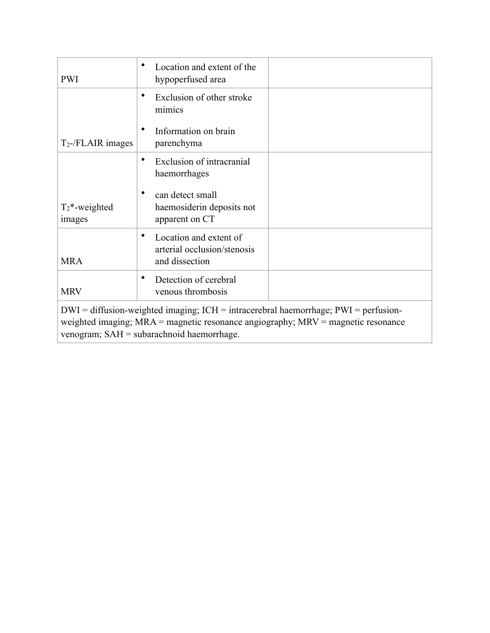| <b>PWI</b>                                                                                                                                                                                                                     | Location and extent of the<br>hypoperfused area                              |  |  |  |  |
|--------------------------------------------------------------------------------------------------------------------------------------------------------------------------------------------------------------------------------|------------------------------------------------------------------------------|--|--|--|--|
|                                                                                                                                                                                                                                | Exclusion of other stroke<br>mimics                                          |  |  |  |  |
| $T_2$ -/FLAIR images                                                                                                                                                                                                           | Information on brain<br>parenchyma                                           |  |  |  |  |
|                                                                                                                                                                                                                                | $\bullet$<br>Exclusion of intracranial<br>haemorrhages                       |  |  |  |  |
| $T_2^*$ -weighted<br>images                                                                                                                                                                                                    | $\bullet$<br>can detect small<br>haemosiderin deposits not<br>apparent on CT |  |  |  |  |
| <b>MRA</b>                                                                                                                                                                                                                     | Location and extent of<br>arterial occlusion/stenosis<br>and dissection      |  |  |  |  |
| <b>MRV</b>                                                                                                                                                                                                                     | Detection of cerebral<br>٠<br>venous thrombosis                              |  |  |  |  |
| $DWI =$ diffusion-weighted imaging; $ICH =$ intracerebral haemorrhage; $PWI =$ perfusion-<br>weighted imaging; $MRA$ = magnetic resonance angiography; $MRV$ = magnetic resonance<br>venogram; SAH = subarachnoid haemorrhage. |                                                                              |  |  |  |  |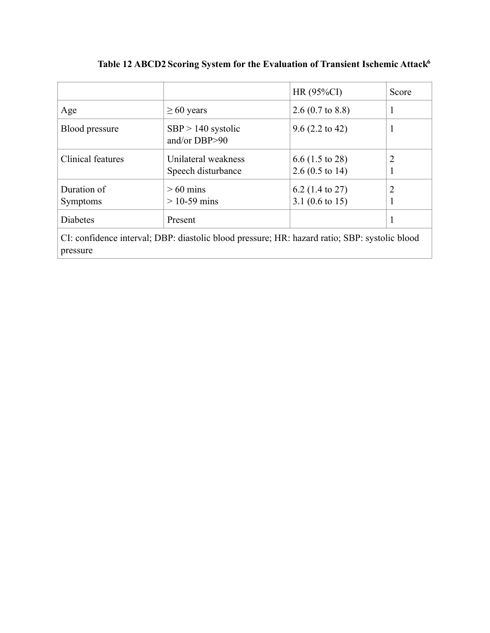|                                                                                                           |                                           | HR $(95\%CI)$                                            | Score          |  |  |  |
|-----------------------------------------------------------------------------------------------------------|-------------------------------------------|----------------------------------------------------------|----------------|--|--|--|
| Age                                                                                                       | $\geq 60$ years                           | 2.6 $(0.7 \text{ to } 8.8)$                              |                |  |  |  |
| Blood pressure                                                                                            | $SBP > 140$ systolic<br>and/or $DBP > 90$ | $9.6(2.2 \text{ to } 42)$                                |                |  |  |  |
| Clinical features                                                                                         | Unilateral weakness<br>Speech disturbance | $6.6$ (1.5 to 28)<br>2.6 $(0.5 \text{ to } 14)$          | 2              |  |  |  |
| Duration of<br><b>Symptoms</b>                                                                            | $>60$ mins<br>$>$ 10-59 mins              | 6.2 $(1.4 \text{ to } 27)$<br>3.1 $(0.6 \text{ to } 15)$ | $\overline{2}$ |  |  |  |
| <b>Diabetes</b>                                                                                           | Present                                   |                                                          |                |  |  |  |
| CI: confidence interval; DBP: diastolic blood pressure; HR: hazard ratio; SBP: systolic blood<br>pressure |                                           |                                                          |                |  |  |  |

<span id="page-16-0"></span>**Table 12 ABCD2 Scoring System for the Evaluation of Transient Ischemic Attac[k6](#page-34-5)**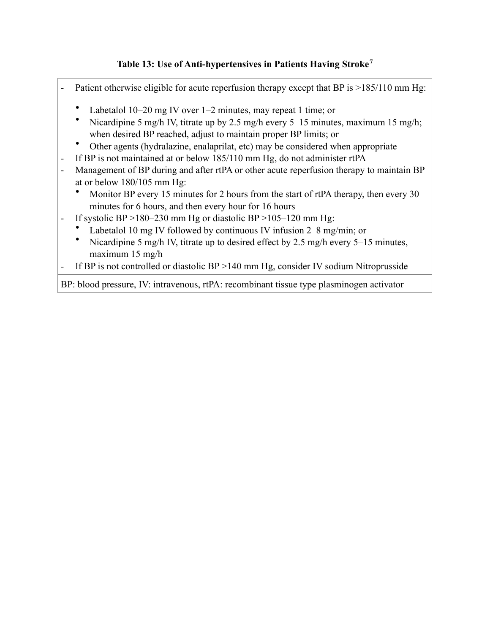### <span id="page-18-0"></span>**Table 13: Use of Anti-hypertensives in Patients Having Stroke[7](#page-34-6)**

- Patient otherwise eligible for acute reperfusion therapy except that BP is  $>185/110$  mm Hg:
	- Labetalol 10–20 mg IV over 1–2 minutes, may repeat 1 time; or
	- Nicardipine 5 mg/h IV, titrate up by 2.5 mg/h every 5–15 minutes, maximum 15 mg/h; when desired BP reached, adjust to maintain proper BP limits; or
	- Other agents (hydralazine, enalaprilat, etc) may be considered when appropriate
- If BP is not maintained at or below 185/110 mm Hg, do not administer rtPA
- Management of BP during and after rtPA or other acute reperfusion therapy to maintain BP at or below 180/105 mm Hg:
	- Monitor BP every 15 minutes for 2 hours from the start of rtPA therapy, then every 30 minutes for 6 hours, and then every hour for 16 hours
- If systolic BP >180–230 mm Hg or diastolic BP >105–120 mm Hg:
	- Labetalol 10 mg IV followed by continuous IV infusion 2–8 mg/min; or
	- Nicardipine 5 mg/h IV, titrate up to desired effect by 2.5 mg/h every 5–15 minutes, maximum 15 mg/h
- If BP is not controlled or diastolic BP >140 mm Hg, consider IV sodium Nitroprusside

BP: blood pressure, IV: intravenous, rtPA: recombinant tissue type plasminogen activator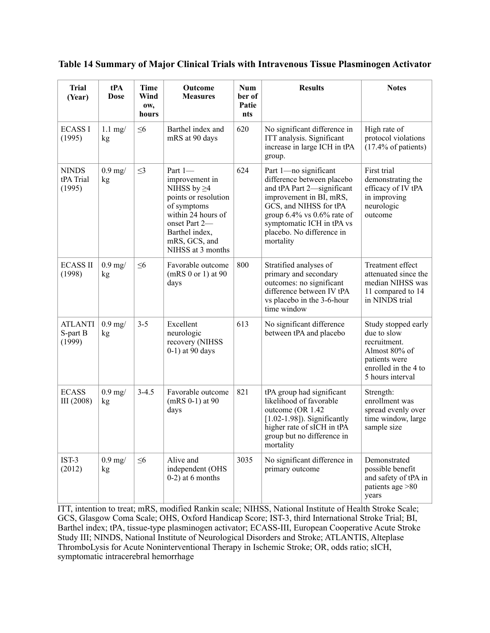| <b>Trial</b><br>(Year)               | tPA<br><b>Dose</b> | <b>Time</b><br>Wind<br>OW,<br>hours | Outcome<br><b>Measures</b>                                                                                                                                                           | Num<br>ber of<br>Patie<br>nts | <b>Results</b>                                                                                                                                                                                                                                    | <b>Notes</b>                                                                                                                     |
|--------------------------------------|--------------------|-------------------------------------|--------------------------------------------------------------------------------------------------------------------------------------------------------------------------------------|-------------------------------|---------------------------------------------------------------------------------------------------------------------------------------------------------------------------------------------------------------------------------------------------|----------------------------------------------------------------------------------------------------------------------------------|
| <b>ECASS I</b><br>(1995)             | $1.1$ mg/<br>kg    | $\leq 6$                            | Barthel index and<br>mRS at 90 days                                                                                                                                                  | 620                           | No significant difference in<br>ITT analysis. Significant<br>increase in large ICH in tPA<br>group.                                                                                                                                               | High rate of<br>protocol violations<br>$(17.4\% \text{ of patients})$                                                            |
| <b>NINDS</b><br>tPA Trial<br>(1995)  | $0.9$ mg/<br>kg    | $\leq$ 3                            | Part 1-<br>improvement in<br>NIHSS by $\geq$ 4<br>points or resolution<br>of symptoms<br>within 24 hours of<br>onset Part 2-<br>Barthel index,<br>mRS, GCS, and<br>NIHSS at 3 months | 624                           | Part 1-no significant<br>difference between placebo<br>and tPA Part 2-significant<br>improvement in BI, mRS,<br>GCS, and NIHSS for tPA<br>group $6.4\%$ vs $0.6\%$ rate of<br>symptomatic ICH in tPA vs<br>placebo. No difference in<br>mortality | First trial<br>demonstrating the<br>efficacy of IV tPA<br>in improving<br>neurologic<br>outcome                                  |
| <b>ECASS II</b><br>(1998)            | $0.9$ mg/<br>kg    | $\leq 6$                            | Favorable outcome<br>$(mRS 0 or 1)$ at 90<br>days                                                                                                                                    | 800                           | Stratified analyses of<br>primary and secondary<br>outcomes: no significant<br>difference between IV tPA<br>vs placebo in the 3-6-hour<br>time window                                                                                             | Treatment effect<br>attenuated since the<br>median NIHSS was<br>11 compared to 14<br>in NINDS trial                              |
| <b>ATLANTI</b><br>S-part B<br>(1999) | $0.9$ mg/<br>kg    | $3 - 5$                             | Excellent<br>neurologic<br>recovery (NIHSS<br>0-1) at 90 days                                                                                                                        | 613                           | No significant difference<br>between tPA and placebo                                                                                                                                                                                              | Study stopped early<br>due to slow<br>recruitment.<br>Almost 80% of<br>patients were<br>enrolled in the 4 to<br>5 hours interval |
| <b>ECASS</b><br>III (2008)           | $0.9$ mg/<br>kg    | $3 - 4.5$                           | Favorable outcome<br>$(mRS 0-1)$ at 90<br>days                                                                                                                                       | 821                           | tPA group had significant<br>likelihood of favorable<br>outcome (OR 1.42<br>$[1.02-1.98]$ ). Significantly<br>higher rate of sICH in tPA<br>group but no difference in<br>mortality                                                               | Strength:<br>enrollment was<br>spread evenly over<br>time window, large<br>sample size                                           |
| $IST-3$<br>(2012)                    | $0.9$ mg/<br>kg    | $\leq 6$                            | Alive and<br>independent (OHS<br>$0-2$ ) at 6 months                                                                                                                                 | 3035                          | No significant difference in<br>primary outcome                                                                                                                                                                                                   | Demonstrated<br>possible benefit<br>and safety of tPA in<br>patients age > 80<br>years                                           |

#### **Table 14 Summary of Major Clinical Trials with Intravenous Tissue Plasminogen Activator**

ITT, intention to treat; mRS, modified Rankin scale; NIHSS, National Institute of Health Stroke Scale; GCS, Glasgow Coma Scale; OHS, Oxford Handicap Score; IST-3, third International Stroke Trial; BI, Barthel index; tPA, tissue-type plasminogen activator; ECASS-III, European Cooperative Acute Stroke Study III; NINDS, National Institute of Neurological Disorders and Stroke; ATLANTIS, Alteplase ThromboLysis for Acute Noninterventional Therapy in Ischemic Stroke; OR, odds ratio; sICH, symptomatic intracerebral hemorrhage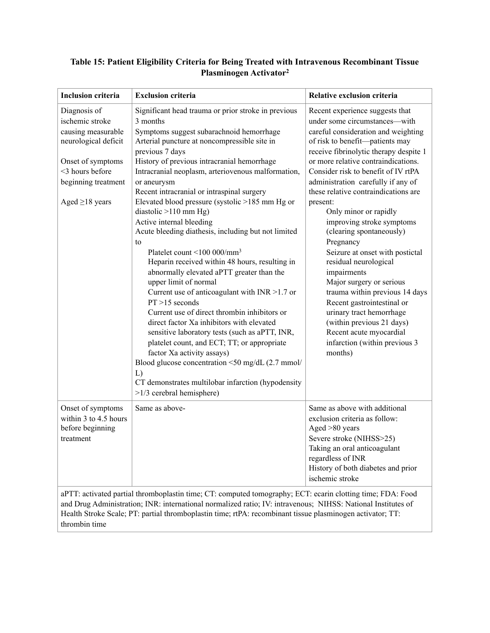#### **Table 15: Patient Eligibility Criteria for Being Treated with Intravenous Recombinant Tissue Plasminogen Activator2**

| <b>Inclusion criteria</b>                                                                                                                                                                                                                                                                                                                                | <b>Exclusion criteria</b>                                                                                                                                                                                                                                                                                                                                                                                                                                                                                                                                                                                                                                                                                                                                                                                                                                                                                                                                                                                                                                                                                                                    | Relative exclusion criteria                                                                                                                                                                                                                                                                                                                                                                                                                                                                                                                                                                                                                                                                                                                                        |  |  |  |  |
|----------------------------------------------------------------------------------------------------------------------------------------------------------------------------------------------------------------------------------------------------------------------------------------------------------------------------------------------------------|----------------------------------------------------------------------------------------------------------------------------------------------------------------------------------------------------------------------------------------------------------------------------------------------------------------------------------------------------------------------------------------------------------------------------------------------------------------------------------------------------------------------------------------------------------------------------------------------------------------------------------------------------------------------------------------------------------------------------------------------------------------------------------------------------------------------------------------------------------------------------------------------------------------------------------------------------------------------------------------------------------------------------------------------------------------------------------------------------------------------------------------------|--------------------------------------------------------------------------------------------------------------------------------------------------------------------------------------------------------------------------------------------------------------------------------------------------------------------------------------------------------------------------------------------------------------------------------------------------------------------------------------------------------------------------------------------------------------------------------------------------------------------------------------------------------------------------------------------------------------------------------------------------------------------|--|--|--|--|
| Diagnosis of<br>ischemic stroke<br>causing measurable<br>neurological deficit<br>Onset of symptoms<br><3 hours before<br>beginning treatment<br>Aged $\geq$ 18 years                                                                                                                                                                                     | Significant head trauma or prior stroke in previous<br>3 months<br>Symptoms suggest subarachnoid hemorrhage<br>Arterial puncture at noncompressible site in<br>previous 7 days<br>History of previous intracranial hemorrhage<br>Intracranial neoplasm, arteriovenous malformation,<br>or aneurysm<br>Recent intracranial or intraspinal surgery<br>Elevated blood pressure (systolic >185 mm Hg or<br>diastolic >110 mm Hg)<br>Active internal bleeding<br>Acute bleeding diathesis, including but not limited<br>to<br>Platelet count <100 000/mm <sup>3</sup><br>Heparin received within 48 hours, resulting in<br>abnormally elevated aPTT greater than the<br>upper limit of normal<br>Current use of anticoagulant with $INR > 1.7$ or<br>$PT > 15$ seconds<br>Current use of direct thrombin inhibitors or<br>direct factor Xa inhibitors with elevated<br>sensitive laboratory tests (such as aPTT, INR,<br>platelet count, and ECT; TT; or appropriate<br>factor Xa activity assays)<br>Blood glucose concentration <50 mg/dL (2.7 mmol/<br>L)<br>CT demonstrates multilobar infarction (hypodensity<br>$>1/3$ cerebral hemisphere) | Recent experience suggests that<br>under some circumstances-with<br>careful consideration and weighting<br>of risk to benefit-patients may<br>receive fibrinolytic therapy despite 1<br>or more relative contraindications.<br>Consider risk to benefit of IV rtPA<br>administration carefully if any of<br>these relative contraindications are<br>present:<br>Only minor or rapidly<br>improving stroke symptoms<br>(clearing spontaneously)<br>Pregnancy<br>Seizure at onset with postictal<br>residual neurological<br>impairments<br>Major surgery or serious<br>trauma within previous 14 days<br>Recent gastrointestinal or<br>urinary tract hemorrhage<br>(within previous 21 days)<br>Recent acute myocardial<br>infarction (within previous 3<br>months) |  |  |  |  |
| Onset of symptoms<br>within 3 to 4.5 hours<br>before beginning<br>treatment                                                                                                                                                                                                                                                                              | Same as above-                                                                                                                                                                                                                                                                                                                                                                                                                                                                                                                                                                                                                                                                                                                                                                                                                                                                                                                                                                                                                                                                                                                               | Same as above with additional<br>exclusion criteria as follow:<br>Aged >80 years<br>Severe stroke (NIHSS>25)<br>Taking an oral anticoagulant<br>regardless of INR<br>History of both diabetes and prior<br>ischemic stroke                                                                                                                                                                                                                                                                                                                                                                                                                                                                                                                                         |  |  |  |  |
| aPTT: activated partial thromboplastin time; CT: computed tomography; ECT: ecarin clotting time; FDA: Food<br>and Drug Administration; INR: international normalized ratio; IV: intravenous; NIHSS: National Institutes of<br>Health Stroke Scale; PT: partial thromboplastin time; rtPA: recombinant tissue plasminogen activator; TT:<br>thrombin time |                                                                                                                                                                                                                                                                                                                                                                                                                                                                                                                                                                                                                                                                                                                                                                                                                                                                                                                                                                                                                                                                                                                                              |                                                                                                                                                                                                                                                                                                                                                                                                                                                                                                                                                                                                                                                                                                                                                                    |  |  |  |  |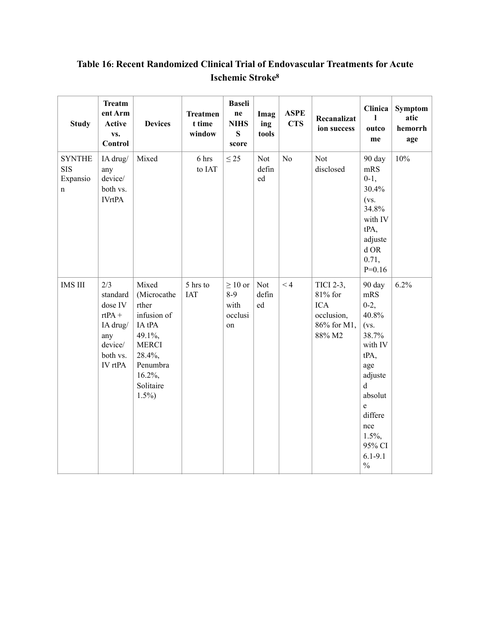| <b>Study</b>                                           | <b>Treatm</b><br>ent Arm<br>Active<br>vs.<br>Control                                        | <b>Devices</b>                                                                                                                               | <b>Treatmen</b><br>t time<br>window | <b>Baseli</b><br>$\boldsymbol{\mathop{\bf ne}\nolimits}$<br><b>NIHS</b><br>S<br>score | Imag<br>ing<br>tools | <b>ASPE</b><br><b>CTS</b> | Recanalizat<br>ion success                                                | Clinica<br>ı<br>outco<br>me                                                                                                                                                                   | <b>Symptom</b><br>atic<br>hemorrh<br>age |
|--------------------------------------------------------|---------------------------------------------------------------------------------------------|----------------------------------------------------------------------------------------------------------------------------------------------|-------------------------------------|---------------------------------------------------------------------------------------|----------------------|---------------------------|---------------------------------------------------------------------------|-----------------------------------------------------------------------------------------------------------------------------------------------------------------------------------------------|------------------------------------------|
| <b>SYNTHE</b><br><b>SIS</b><br>Expansio<br>$\mathbf n$ | IA drug/<br>any<br>device/<br>both vs.<br><b>IVrtPA</b>                                     | Mixed                                                                                                                                        | 6 hrs<br>to IAT                     | $\leq$ 25                                                                             | Not<br>defin<br>ed   | N <sub>o</sub>            | Not<br>disclosed                                                          | 90 day<br>mRS<br>$0-1,$<br>30.4%<br>(vs.<br>34.8%<br>with IV<br>tPA,<br>adjuste<br>$d$ OR<br>0.71,<br>$P=0.16$                                                                                | 10%                                      |
| <b>IMS III</b>                                         | 2/3<br>standard<br>dose IV<br>$rtPA +$<br>IA drug/<br>any<br>device/<br>both vs.<br>IV rtPA | Mixed<br>(Microcathe<br>rther<br>infusion of<br>IA tPA<br>49.1%,<br><b>MERCI</b><br>28.4%,<br>Penumbra<br>$16.2\%$ ,<br>Solitaire<br>$1.5\%$ | 5 hrs to<br>IAT                     | $\geq 10$ or<br>$8-9$<br>with<br>occlusi<br>on                                        | Not<br>defin<br>ed   | $\leq 4$                  | TICI 2-3,<br>81% for<br><b>ICA</b><br>occlusion,<br>86% for M1,<br>88% M2 | 90 day<br>mRS<br>$0-2,$<br>40.8%<br>(vs.<br>38.7%<br>with IV<br>tPA,<br>age<br>adjuste<br>$\mathbf d$<br>absolut<br>e<br>differe<br>nce<br>$1.5\%,$<br>95% CI<br>$6.1 - 9.1$<br>$\frac{0}{0}$ | 6.2%                                     |

## <span id="page-22-0"></span>Table 16: Recent Randomized Clinical Trial of Endovascular Treatments for Acute **Ischemic Stroke<sup>8</sup>**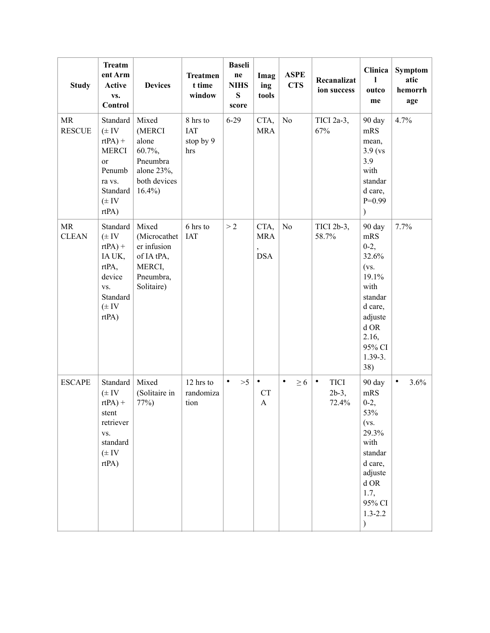| <b>Study</b>               | <b>Treatm</b><br>ent Arm<br>Active<br>VS.<br>Control                                                              | <b>Devices</b>                                                                          | <b>Treatmen</b><br>t time<br>window        | <b>Baseli</b><br>ne<br><b>NIHS</b><br>${\bf S}$<br>score | Imag<br>ing<br>tools                  | <b>ASPE</b><br><b>CTS</b> | Recanalizat<br>ion success                    | Clinica<br>ī<br>outco<br>me                                                                                                                        | Symptom<br>atic<br>hemorrh<br>age |
|----------------------------|-------------------------------------------------------------------------------------------------------------------|-----------------------------------------------------------------------------------------|--------------------------------------------|----------------------------------------------------------|---------------------------------------|---------------------------|-----------------------------------------------|----------------------------------------------------------------------------------------------------------------------------------------------------|-----------------------------------|
| <b>MR</b><br><b>RESCUE</b> | Standard<br>$(\pm IV)$<br>$rtPA$ ) +<br><b>MERCI</b><br>or<br>Penumb<br>ra vs.<br>Standard<br>$(\pm IV)$<br>rtPA) | Mixed<br>(MERCI<br>alone<br>60.7%,<br>Pneumbra<br>alone 23%,<br>both devices<br>16.4%   | 8 hrs to<br><b>IAT</b><br>stop by 9<br>hrs | $6 - 29$                                                 | CTA,<br><b>MRA</b>                    | No                        | TICI 2a-3,<br>67%                             | 90 day<br>mRS<br>mean,<br>$3.9$ (vs<br>3.9<br>with<br>standar<br>d care,<br>$P=0.99$<br>$\mathcal{E}$                                              | 4.7%                              |
| <b>MR</b><br><b>CLEAN</b>  | Standard<br>$(\pm IV)$<br>$rtPA$ ) +<br>IA UK,<br>rtPA,<br>device<br>VS.<br>Standard<br>$(\pm IV)$<br>rtPA)       | Mixed<br>(Microcathet<br>er infusion<br>of IA tPA,<br>MERCI,<br>Pneumbra,<br>Solitaire) | 6 hrs to<br><b>IAT</b>                     | >2                                                       | CTA,<br><b>MRA</b><br>,<br><b>DSA</b> | N <sub>o</sub>            | TICI 2b-3,<br>58.7%                           | 90 day<br>mRS<br>$0-2,$<br>32.6%<br>(vs.<br>19.1%<br>with<br>standar<br>d care,<br>adjuste<br>$d$ OR<br>2.16,<br>95% CI<br>$1.39-3.$<br>38)        | 7.7%                              |
| <b>ESCAPE</b>              | Standard<br>$(\pm IV)$<br>$rtPA$ ) +<br>stent<br>retriever<br>VS.<br>standard<br>$(\pm IV)$<br>rtPA)              | Mixed<br>(Solitaire in<br>77%                                                           | 12 hrs to<br>randomiza<br>tion             | $\bullet$<br>>5                                          | $\bullet$<br>CT<br>$\mathbf{A}$       | $\bullet$<br>$\geq 6$     | <b>TICI</b><br>$\bullet$<br>$2b-3$ ,<br>72.4% | 90 day<br>mRS<br>$0-2,$<br>53%<br>(vs)<br>29.3%<br>with<br>standar<br>d care,<br>adjuste<br>d OR<br>1.7,<br>95% CI<br>$1.3 - 2.2$<br>$\mathcal{E}$ | 3.6%<br>$\bullet$                 |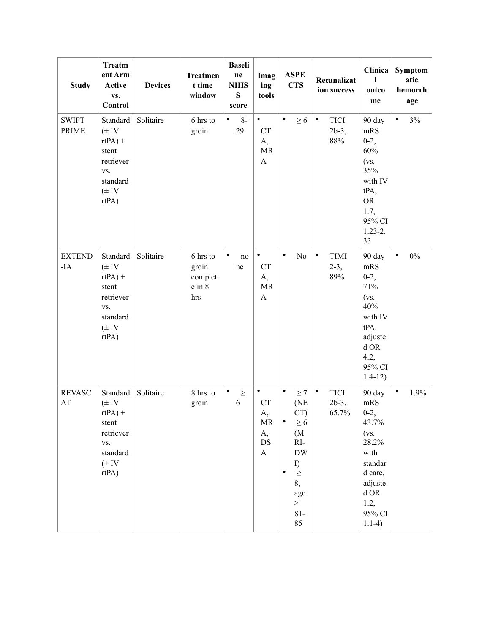| <b>Study</b>                 | <b>Treatm</b><br>ent Arm<br>Active<br>VS.<br>Control                                                 | <b>Devices</b> | <b>Treatmen</b><br>t time<br>window           | <b>Baseli</b><br>$\bold{n}$ e<br><b>NIHS</b><br>${\bf S}$<br>score | Imag<br>ing<br>tools                                                                                 | <b>ASPE</b><br><b>CTS</b>                                                                                                                                         | Recanalizat<br>ion success                     | Clinica<br>ı<br>outco<br>me                                                                                                            | Symptom<br>atic<br>hemorrh<br>age |
|------------------------------|------------------------------------------------------------------------------------------------------|----------------|-----------------------------------------------|--------------------------------------------------------------------|------------------------------------------------------------------------------------------------------|-------------------------------------------------------------------------------------------------------------------------------------------------------------------|------------------------------------------------|----------------------------------------------------------------------------------------------------------------------------------------|-----------------------------------|
| <b>SWIFT</b><br><b>PRIME</b> | Standard<br>$(\pm IV)$<br>$rtPA$ ) +<br>stent<br>retriever<br>VS.<br>standard<br>$(\pm IV)$<br>rtPA) | Solitaire      | 6 hrs to<br>groin                             | $\bullet$<br>$8-$<br>29                                            | $\bullet$<br><b>CT</b><br>A,<br><b>MR</b><br>$\boldsymbol{\rm{A}}$                                   | $\bullet$<br>$\geq 6$                                                                                                                                             | $\bullet$<br><b>TICI</b><br>$2b-3$ ,<br>$88\%$ | 90 day<br>mRS<br>$0-2,$<br>60%<br>(vs.<br>35%<br>with IV<br>tPA,<br><b>OR</b><br>1.7,<br>95% CI<br>$1.23 - 2.$<br>33                   | 3%<br>٠                           |
| <b>EXTEND</b><br>$-IA$       | Standard<br>$(\pm$ IV<br>$rtPA$ ) +<br>stent<br>retriever<br>VS.<br>standard<br>$(\pm IV)$<br>rtPA)  | Solitaire      | 6 hrs to<br>groin<br>complet<br>e in 8<br>hrs | $\bullet$<br>no<br>ne                                              | $\bullet$<br><b>CT</b><br>A,<br>MR<br>$\mathbf{A}$                                                   | $\bullet$<br>No                                                                                                                                                   | $\bullet$<br><b>TIMI</b><br>$2-3,$<br>89%      | 90 day<br>mRS<br>$0-2,$<br>71%<br>$(vs)$ .<br>40%<br>with IV<br>tPA,<br>adjuste<br>$d$ OR<br>4.2,<br>95% CI<br>$1.4 - 12)$             | $\bullet$<br>$0\%$                |
| <b>REVASC</b><br>AT          | Standard<br>$(\pm$ IV<br>$rtPA$ ) +<br>stent<br>retriever<br>VS.<br>standard<br>$(\pm IV)$<br>rtPA)  | Solitaire      | 8 hrs to<br>groin                             | $\bullet$<br>$\geq$<br>6                                           | $\bullet$<br>${\cal C}{\cal T}$<br>A,<br>$\ensuremath{\mathsf{MR}}\xspace$<br>A,<br>$DS$<br>$\bf{A}$ | $\bullet$<br>$\geq$ 7<br>(NE<br>CT)<br>$\geq 6$<br>٠<br>(M <sup>2</sup> )<br>$RI-$<br>$\rm{DW}$<br>I)<br>$\geq$<br>$\bullet$<br>8,<br>age<br>$\,>$<br>$81-$<br>85 | $\bullet$<br><b>TICI</b><br>$2b-3$ ,<br>65.7%  | 90 day<br>mRS<br>$0-2,$<br>43.7%<br>$(vs)$ .<br>28.2%<br>with<br>standar<br>d care,<br>adjuste<br>$d$ OR<br>1.2,<br>95% CI<br>$1.1-4)$ | $\bullet$<br>1.9%                 |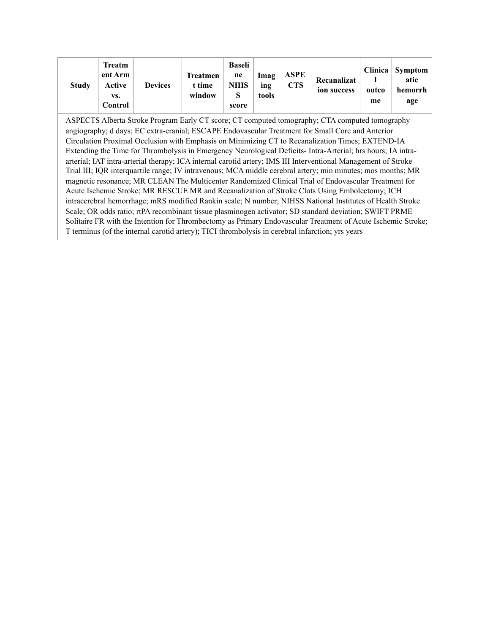| <b>Study</b> | <b>Treatm</b><br>ent Arm<br>Active<br>VS.<br>Control | <b>Devices</b> | <b>Treatmen</b><br>t time<br>window | <b>Baseli</b><br>ne<br><b>NIHS</b><br>score | Imag<br>ing<br>tools | <b>ASPE</b><br><b>CTS</b> | Recanalizat<br>ion success | Clinica '<br>outco<br>me | Symptom<br>atic<br>hemorrh  <br>age |
|--------------|------------------------------------------------------|----------------|-------------------------------------|---------------------------------------------|----------------------|---------------------------|----------------------------|--------------------------|-------------------------------------|
|--------------|------------------------------------------------------|----------------|-------------------------------------|---------------------------------------------|----------------------|---------------------------|----------------------------|--------------------------|-------------------------------------|

ASPECTS Alberta Stroke Program Early CT score; CT computed tomography; CTA computed tomography angiography; d days; EC extra-cranial; ESCAPE Endovascular Treatment for Small Core and Anterior Circulation Proximal Occlusion with Emphasis on Minimizing CT to Recanalization Times; EXTEND-IA Extending the Time for Thrombolysis in Emergency Neurological Deficits- Intra-Arterial; hrs hours; IA intraarterial; IAT intra-arterial therapy; ICA internal carotid artery; IMS III Interventional Management of Stroke Trial III; IQR interquartile range; IV intravenous; MCA middle cerebral artery; min minutes; mos months; MR magnetic resonance; MR CLEAN The Multicenter Randomized Clinical Trial of Endovascular Treatment for Acute Ischemic Stroke; MR RESCUE MR and Recanalization of Stroke Clots Using Embolectomy; ICH intracerebral hemorrhage; mRS modified Rankin scale; N number; NIHSS National Institutes of Health Stroke Scale; OR odds ratio; rtPA recombinant tissue plasminogen activator; SD standard deviation; SWIFT PRME Solitaire FR with the Intention for Thrombectomy as Primary Endovascular Treatment of Acute Ischemic Stroke; T terminus (of the internal carotid artery); TICI thrombolysis in cerebral infarction; yrs years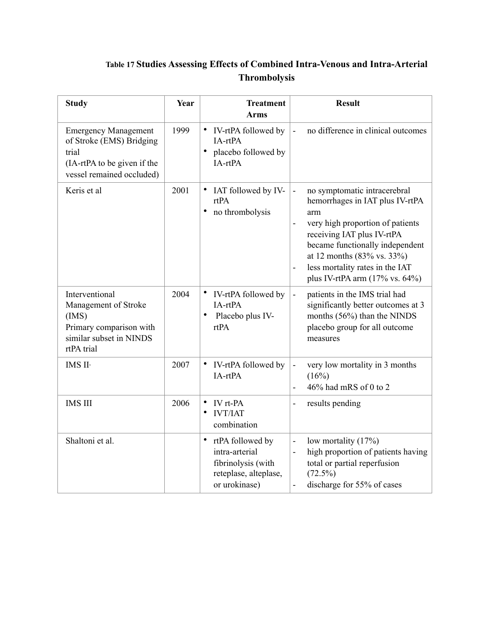## **Table 17 Studies Assessing Effects of Combined Intra-Venous and Intra-Arterial Thrombolysis**

| <b>Study</b>                                                                                                                 | Year | <b>Treatment</b><br><b>Arms</b>                                                                                 | <b>Result</b>                                                                                                                                                                                                                                                                                                                         |
|------------------------------------------------------------------------------------------------------------------------------|------|-----------------------------------------------------------------------------------------------------------------|---------------------------------------------------------------------------------------------------------------------------------------------------------------------------------------------------------------------------------------------------------------------------------------------------------------------------------------|
| <b>Emergency Management</b><br>of Stroke (EMS) Bridging<br>trial<br>(IA-rtPA to be given if the<br>vessel remained occluded) | 1999 | IV-rtPA followed by<br>IA-rtPA<br>placebo followed by<br>IA-rtPA                                                | no difference in clinical outcomes<br>$\overline{a}$                                                                                                                                                                                                                                                                                  |
| Keris et al                                                                                                                  | 2001 | IAT followed by IV-<br>$\bullet$<br>rtPA<br>no thrombolysis<br>$\bullet$                                        | no symptomatic intracerebral<br>÷,<br>hemorrhages in IAT plus IV-rtPA<br>arm<br>very high proportion of patients<br>$\blacksquare$<br>receiving IAT plus IV-rtPA<br>became functionally independent<br>at 12 months (83% vs. 33%)<br>less mortality rates in the IAT<br>$\blacksquare$<br>plus IV-rtPA arm $(17\% \text{ vs. } 64\%)$ |
| Interventional<br>Management of Stroke<br>(IMS)<br>Primary comparison with<br>similar subset in NINDS<br>rtPA trial          | 2004 | $\bullet$<br>IV-rtPA followed by<br>IA-rtPA<br>$\bullet$<br>Placebo plus IV-<br>rtPA                            | patients in the IMS trial had<br>÷,<br>significantly better outcomes at 3<br>months (56%) than the NINDS<br>placebo group for all outcome<br>measures                                                                                                                                                                                 |
| IMS II <sup>,</sup>                                                                                                          | 2007 | IV-rtPA followed by<br>IA-rtPA                                                                                  | very low mortality in 3 months<br>÷,<br>(16%)<br>46% had mRS of 0 to 2                                                                                                                                                                                                                                                                |
| <b>IMS III</b>                                                                                                               | 2006 | IV rt-PA<br>$\bullet$<br><b>IVT/IAT</b><br>$\bullet$<br>combination                                             | results pending                                                                                                                                                                                                                                                                                                                       |
| Shaltoni et al.                                                                                                              |      | $\bullet$<br>rtPA followed by<br>intra-arterial<br>fibrinolysis (with<br>reteplase, alteplase,<br>or urokinase) | low mortality $(17%)$<br>÷,<br>high proportion of patients having<br>total or partial reperfusion<br>$(72.5\%)$<br>discharge for 55% of cases<br>÷,                                                                                                                                                                                   |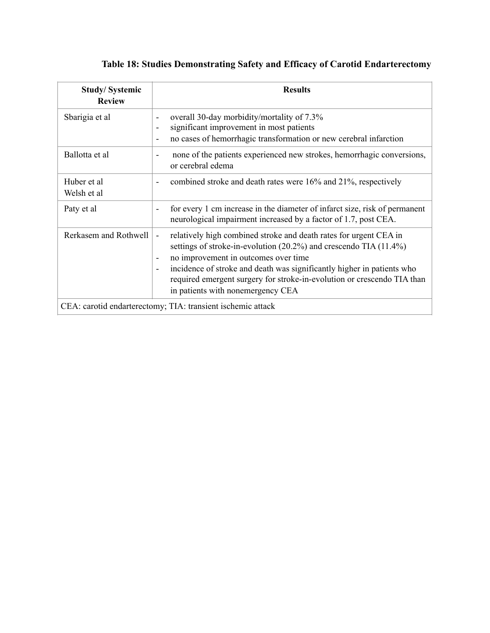|  |  |  |  |  |  | Table 18: Studies Demonstrating Safety and Efficacy of Carotid Endarterectomy |
|--|--|--|--|--|--|-------------------------------------------------------------------------------|
|--|--|--|--|--|--|-------------------------------------------------------------------------------|

| <b>Study/Systemic</b><br><b>Review</b> | <b>Results</b>                                                                                                                                                                                                                                                                                                                                                                                                                   |
|----------------------------------------|----------------------------------------------------------------------------------------------------------------------------------------------------------------------------------------------------------------------------------------------------------------------------------------------------------------------------------------------------------------------------------------------------------------------------------|
| Sbarigia et al                         | overall 30-day morbidity/mortality of 7.3%<br>significant improvement in most patients<br>$\overline{a}$<br>no cases of hemorrhagic transformation or new cerebral infarction<br>$\blacksquare$                                                                                                                                                                                                                                  |
| Ballotta et al                         | none of the patients experienced new strokes, hemorrhagic conversions,<br>or cerebral edema                                                                                                                                                                                                                                                                                                                                      |
| Huber et al<br>Welsh et al             | combined stroke and death rates were 16% and 21%, respectively<br>$\qquad \qquad -$                                                                                                                                                                                                                                                                                                                                              |
| Paty et al                             | for every 1 cm increase in the diameter of infarct size, risk of permanent<br>$\overline{\phantom{a}}$<br>neurological impairment increased by a factor of 1.7, post CEA.                                                                                                                                                                                                                                                        |
| Rerkasem and Rothwell                  | relatively high combined stroke and death rates for urgent CEA in<br>$\overline{\phantom{0}}$<br>settings of stroke-in-evolution (20.2%) and crescendo TIA (11.4%)<br>no improvement in outcomes over time<br>$\overline{\phantom{a}}$<br>incidence of stroke and death was significantly higher in patients who<br>required emergent surgery for stroke-in-evolution or crescendo TIA than<br>in patients with nonemergency CEA |
|                                        | CEA: carotid endarterectomy; TIA: transient ischemic attack                                                                                                                                                                                                                                                                                                                                                                      |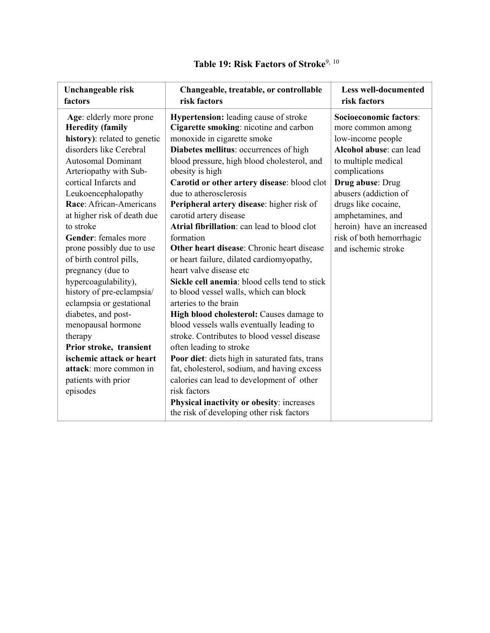| Unchangeable risk<br>factors                       | Changeable, treatable, or controllable<br>risk factors                                 | <b>Less well-documented</b><br>risk factors |
|----------------------------------------------------|----------------------------------------------------------------------------------------|---------------------------------------------|
| Age: elderly more prone<br><b>Heredity (family</b> | <b>Hypertension:</b> leading cause of stroke<br>Cigarette smoking: nicotine and carbon | Socioeconomic factors:<br>more common among |
| history): related to genetic                       | monoxide in cigarette smoke                                                            | low-income people                           |
| disorders like Cerebral                            | Diabetes mellitus: occurrences of high                                                 | Alcohol abuse: can lead                     |
| <b>Autosomal Dominant</b>                          | blood pressure, high blood cholesterol, and                                            | to multiple medical                         |
| Arteriopathy with Sub-                             | obesity is high                                                                        | complications                               |
| cortical Infarcts and                              | Carotid or other artery disease: blood clot                                            | Drug abuse: Drug                            |
| Leukoencephalopathy                                | due to atherosclerosis                                                                 | abusers (addiction of                       |
| Race: African-Americans                            | Peripheral artery disease: higher risk of                                              | drugs like cocaine,                         |
| at higher risk of death due                        | carotid artery disease                                                                 | amphetamines, and                           |
| to stroke                                          | Atrial fibrillation: can lead to blood clot                                            | heroin) have an increased                   |
| <b>Gender:</b> females more                        | formation                                                                              | risk of both hemorrhagic                    |
| prone possibly due to use                          | Other heart disease: Chronic heart disease                                             | and ischemic stroke                         |
| of birth control pills,                            | or heart failure, dilated cardiomyopathy,                                              |                                             |
| pregnancy (due to                                  | heart valve disease etc                                                                |                                             |
| hypercoagulability),                               | Sickle cell anemia: blood cells tend to stick                                          |                                             |
| history of pre-eclampsia/                          | to blood vessel walls, which can block                                                 |                                             |
| eclampsia or gestational                           | arteries to the brain                                                                  |                                             |
| diabetes, and post-                                | High blood cholesterol: Causes damage to                                               |                                             |
| menopausal hormone                                 | blood vessels walls eventually leading to                                              |                                             |
| therapy                                            | stroke. Contributes to blood vessel disease                                            |                                             |
| Prior stroke, transient                            | often leading to stroke                                                                |                                             |
| ischemic attack or heart                           | Poor diet: diets high in saturated fats, trans                                         |                                             |
| attack: more common in                             | fat, cholesterol, sodium, and having excess                                            |                                             |
| patients with prior                                | calories can lead to development of other                                              |                                             |
| episodes                                           | risk factors                                                                           |                                             |
|                                                    | Physical inactivity or obesity: increases                                              |                                             |
|                                                    | the risk of developing other risk factors                                              |                                             |

## <span id="page-29-1"></span><span id="page-29-0"></span>**Table 19: Risk Factors of Stroke**[9,](#page-34-8) [10](#page-34-9)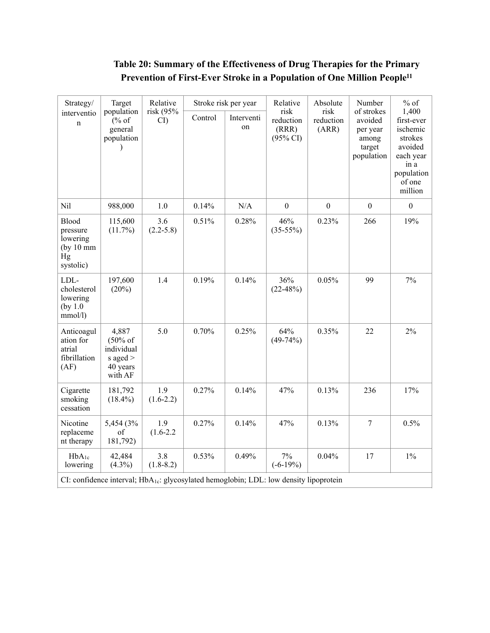## <span id="page-31-0"></span>**Table 20: Summary of the Effectiveness of Drug Therapies for the Primary Prevention of First-Ever Stroke in a Population of One Million Peopl[e11](#page-34-10)**

| Strategy/                                                                                          | Target                                                                          | Relative<br>Stroke risk per year<br>risk (95%<br>risk<br>Control<br>Interventi<br>CI<br>on<br>$\lambda$ |                                           |                            | Relative                                                           | Absolute                                                                                                      | Number         | $%$ of       |
|----------------------------------------------------------------------------------------------------|---------------------------------------------------------------------------------|---------------------------------------------------------------------------------------------------------|-------------------------------------------|----------------------------|--------------------------------------------------------------------|---------------------------------------------------------------------------------------------------------------|----------------|--------------|
| interventio<br>$\mathbf n$                                                                         | population<br>% of<br>general<br>population                                     |                                                                                                         | reduction<br>(RRR)<br>$(95\% \text{ CI})$ | risk<br>reduction<br>(ARR) | of strokes<br>avoided<br>per year<br>among<br>target<br>population | 1,400<br>first-ever<br>ischemic<br>strokes<br>avoided<br>each year<br>in a<br>population<br>of one<br>million |                |              |
| Nil                                                                                                | 988,000                                                                         | 1.0                                                                                                     | 0.14%                                     | N/A                        | $\mathbf{0}$                                                       | $\mathbf{0}$                                                                                                  | $\overline{0}$ | $\mathbf{0}$ |
| Blood<br>pressure<br>lowering<br>(by 10 mm)<br>Hg<br>systolic)                                     | 115,600<br>(11.7%)                                                              | 3.6<br>$(2.2 - 5.8)$                                                                                    | 0.51%                                     | 0.28%                      | 46%<br>$(35-55%)$                                                  | 0.23%                                                                                                         | 266            | 19%          |
| LDL-<br>cholesterol<br>lowering<br>(by 1.0<br>mmol/l)                                              | 197,600<br>(20%)                                                                | 1.4                                                                                                     | 0.19%                                     | 0.14%                      | 36%<br>$(22-48%)$                                                  | 0.05%                                                                                                         | 99             | 7%           |
| Anticoagul<br>ation for<br>atrial<br>fibrillation<br>(AF)                                          | 4,887<br>$(50\% \text{ of }$<br>individual<br>s aged $>$<br>40 years<br>with AF | 5.0                                                                                                     | 0.70%                                     | 0.25%                      | 64%<br>$(49-74%)$                                                  | 0.35%                                                                                                         | 22             | $2\%$        |
| Cigarette<br>smoking<br>cessation                                                                  | 181,792<br>$(18.4\%)$                                                           | 1.9<br>$(1.6-2.2)$                                                                                      | 0.27%                                     | 0.14%                      | 47%                                                                | 0.13%                                                                                                         | 236            | 17%          |
| Nicotine<br>replaceme<br>nt therapy                                                                | 5,454 (3%)<br>of<br>181,792)                                                    | 1.9<br>$(1.6 - 2.2)$                                                                                    | 0.27%                                     | 0.14%                      | 47%                                                                | 0.13%                                                                                                         | $\tau$         | 0.5%         |
| $HbA_{1c}$<br>lowering                                                                             | 42,484<br>$(4.3\%)$                                                             | 3.8<br>$(1.8-8.2)$                                                                                      | 0.53%                                     | 0.49%                      | 7%<br>$(-6-19%)$                                                   | 0.04%                                                                                                         | 17             | $1\%$        |
| CI: confidence interval; HbA <sub>1c</sub> : glycosylated hemoglobin; LDL: low density lipoprotein |                                                                                 |                                                                                                         |                                           |                            |                                                                    |                                                                                                               |                |              |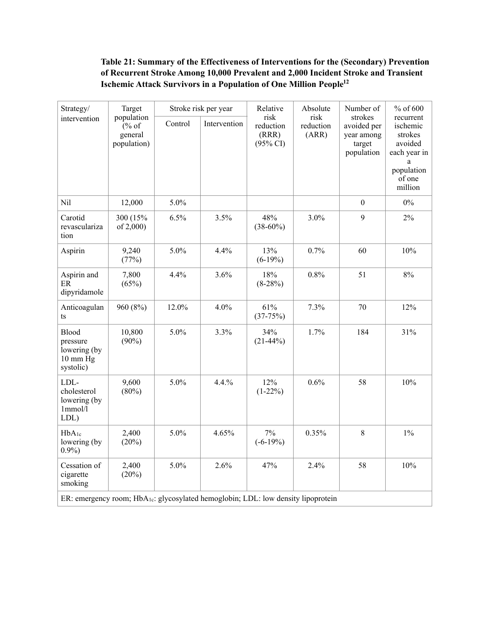#### <span id="page-32-0"></span>**Table 21: Summary of the Effectiveness of Interventions for the (Secondary) Prevention of Recurrent Stroke Among 10,000 Prevalent and 2,000 Incident Stroke and Transient Ischemic Attack Survivors in a Population of One Million Peopl[e12](#page-34-11)**

| Strategy/<br>intervention                                                                     | Target<br>population<br>% of<br>general<br>population) | Stroke risk per year |              | Relative                                          | Absolute                   | Number of                                                    | % of 600                                                                                       |
|-----------------------------------------------------------------------------------------------|--------------------------------------------------------|----------------------|--------------|---------------------------------------------------|----------------------------|--------------------------------------------------------------|------------------------------------------------------------------------------------------------|
|                                                                                               |                                                        | Control              | Intervention | risk<br>reduction<br>(RRR)<br>$(95\% \text{ CI})$ | risk<br>reduction<br>(ARR) | strokes<br>avoided per<br>year among<br>target<br>population | recurrent<br>ischemic<br>strokes<br>avoided<br>each year in<br>population<br>of one<br>million |
| Nil                                                                                           | 12,000                                                 | 5.0%                 |              |                                                   |                            | $\boldsymbol{0}$                                             | $0\%$                                                                                          |
| Carotid<br>revasculariza<br>tion                                                              | 300 (15%)<br>of 2,000)                                 | 6.5%                 | 3.5%         | 48%<br>$(38-60\%)$                                | 3.0%                       | 9                                                            | 2%                                                                                             |
| Aspirin                                                                                       | 9,240<br>(77%)                                         | 5.0%                 | 4.4%         | 13%<br>$(6-19%)$                                  | 0.7%                       | 60                                                           | 10%                                                                                            |
| Aspirin and<br>ER<br>dipyridamole                                                             | 7,800<br>(65%)                                         | 4.4%                 | 3.6%         | 18%<br>$(8-28%)$                                  | 0.8%                       | 51                                                           | $8\%$                                                                                          |
| Anticoagulan<br>ts                                                                            | 960 (8%)                                               | 12.0%                | 4.0%         | 61%<br>$(37-75%)$                                 | 7.3%                       | 70                                                           | 12%                                                                                            |
| Blood<br>pressure<br>lowering (by<br>10 mm Hg<br>systolic)                                    | 10,800<br>$(90\%)$                                     | 5.0%                 | 3.3%         | 34%<br>$(21-44%)$                                 | 1.7%                       | 184                                                          | 31%                                                                                            |
| LDL-<br>cholesterol<br>lowering (by<br>1mmol/l<br>LDL)                                        | 9,600<br>$(80\%)$                                      | 5.0%                 | 4.4.%        | 12%<br>$(1-22\%)$                                 | 0.6%                       | 58                                                           | 10%                                                                                            |
| $HbA_{1c}$<br>lowering (by<br>$0.9\%$                                                         | 2,400<br>(20%)                                         | 5.0%                 | 4.65%        | 7%<br>$(-6-19%)$                                  | 0.35%                      | $\,8\,$                                                      | $1\%$                                                                                          |
| Cessation of<br>cigarette<br>smoking                                                          | 2,400<br>(20%)                                         | 5.0%                 | 2.6%         | 47%                                               | 2.4%                       | 58                                                           | 10%                                                                                            |
| ER: emergency room; HbA <sub>1c</sub> : glycosylated hemoglobin; LDL: low density lipoprotein |                                                        |                      |              |                                                   |                            |                                                              |                                                                                                |